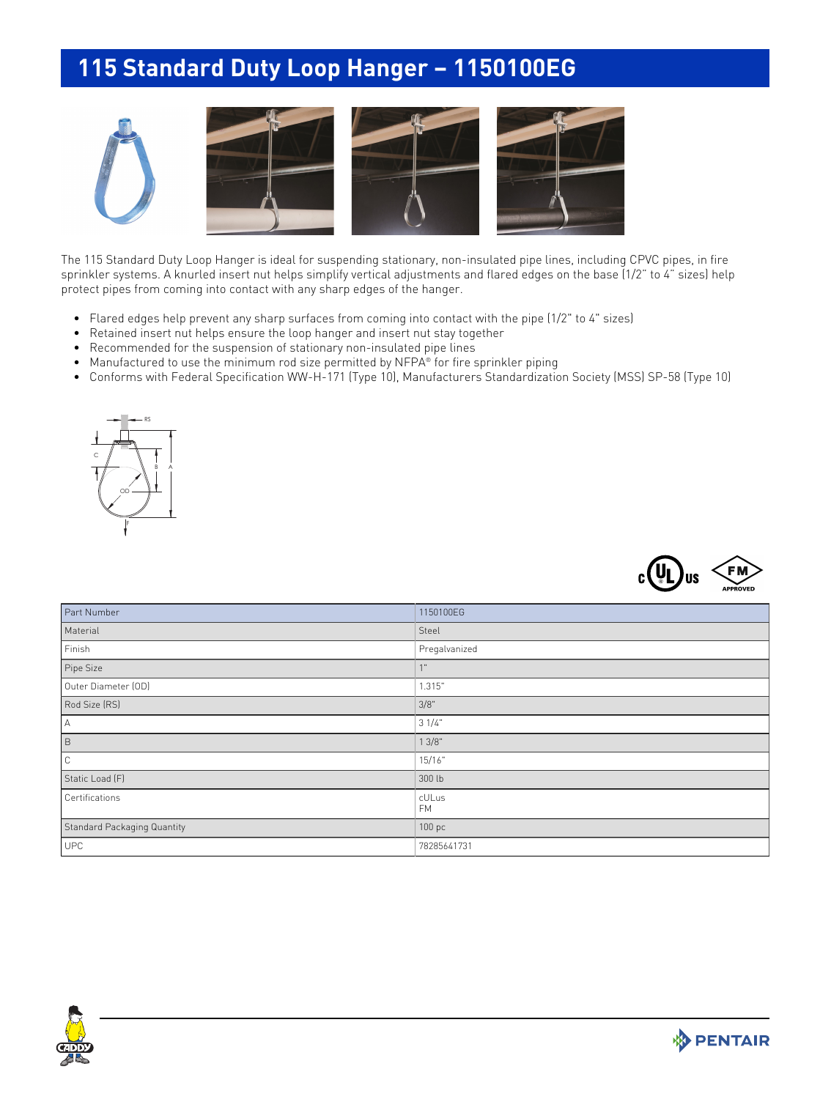## **115 Standard Duty Loop Hanger – 1150100EG**





The 115 Standard Duty Loop Hanger is ideal for suspending stationary, non-insulated pipe lines, including CPVC pipes, in fire sprinkler systems. A knurled insert nut helps simplify vertical adjustments and flared edges on the base (1/2" to 4" sizes) help protect pipes from coming into contact with any sharp edges of the hanger.

- Flared edges help prevent any sharp surfaces from coming into contact with the pipe (1/2" to 4" sizes)
- Retained insert nut helps ensure the loop hanger and insert nut stay together
- Recommended for the suspension of stationary non-insulated pipe lines
- Manufactured to use the minimum rod size permitted by NFPA® for fire sprinkler piping
- Conforms with Federal Specification WW-H-171 (Type 10), Manufacturers Standardization Society (MSS) SP-58 (Type 10)





| Part Number                 | 1150100EG          |
|-----------------------------|--------------------|
| Material                    | Steel              |
| Finish                      | Pregalvanized      |
| Pipe Size                   | 4H                 |
| Outer Diameter (OD)         | 1.315"             |
| Rod Size (RS)               | 3/8"               |
| $\mathbb A$                 | 31/4"              |
| $\,$ B                      | 13/8"              |
| $\mathbb C$                 | 15/16"             |
| Static Load (F)             | 300 lb             |
| Certifications              | cULus<br><b>FM</b> |
| Standard Packaging Quantity | 100 pc             |
| <b>UPC</b>                  | 78285641731        |